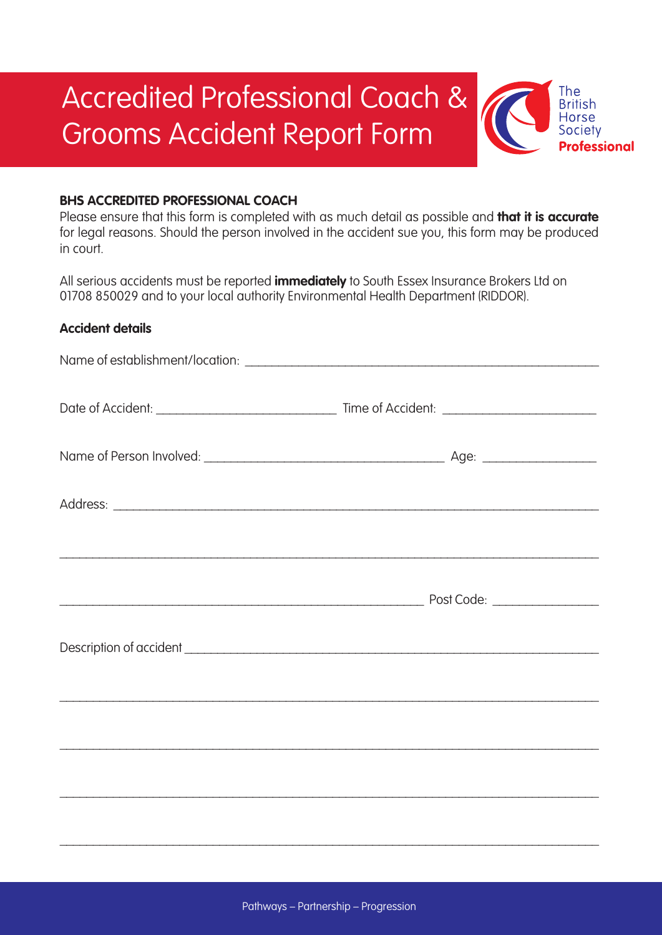# Accredited Professional Coach & Grooms Accident Report Form

## **BHS ACCREDITED PROFESSIONAL COACH**

Please ensure that this form is completed with as much detail as possible and **that it is accurate** for legal reasons. Should the person involved in the accident sue you, this form may be produced in court.

The **British** Horse Societv

**Professional** 

All serious accidents must be reported **immediately** to South Essex Insurance Brokers Ltd on 01708 850029 and to your local authority Environmental Health Department (RIDDOR).

#### **Accident details**

\_\_\_\_\_\_\_\_\_\_\_\_\_\_\_\_\_\_\_\_\_\_\_\_\_\_\_\_\_\_\_\_\_\_\_\_\_\_\_\_\_\_\_\_\_\_\_\_\_\_\_\_\_\_\_\_\_\_\_\_\_\_\_\_\_\_\_\_\_\_\_\_\_\_\_\_\_\_\_\_\_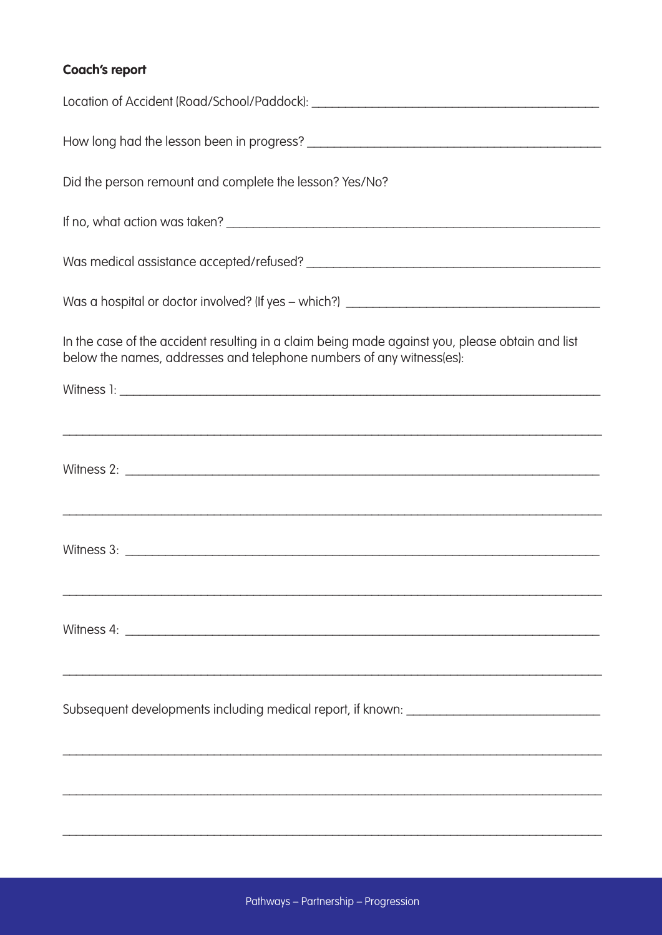# Coach's report

| Did the person remount and complete the lesson? Yes/No?                                                                                                                                                                              |
|--------------------------------------------------------------------------------------------------------------------------------------------------------------------------------------------------------------------------------------|
|                                                                                                                                                                                                                                      |
|                                                                                                                                                                                                                                      |
|                                                                                                                                                                                                                                      |
| In the case of the accident resulting in a claim being made against you, please obtain and list<br>below the names, addresses and telephone numbers of any witness(es):                                                              |
|                                                                                                                                                                                                                                      |
|                                                                                                                                                                                                                                      |
|                                                                                                                                                                                                                                      |
| ,我们也不能在这里的人,我们也不能在这里的人,我们也不能在这里的人,我们也不能在这里的人,我们也不能在这里的人,我们也不能在这里的人,我们也不能在这里的人,我们也                                                                                                                                                    |
|                                                                                                                                                                                                                                      |
|                                                                                                                                                                                                                                      |
| Witness 4: <u>contract the set of the set of the set of the set of the set of the set of the set of the set of the set of the set of the set of the set of the set of the set of the set of the set of the set of the set of the</u> |
| <u> 1989 - Johann Stoff, amerikansk politiker (d. 1989)</u>                                                                                                                                                                          |
| Subsequent developments including medical report, if known: _____________________                                                                                                                                                    |
|                                                                                                                                                                                                                                      |
|                                                                                                                                                                                                                                      |
|                                                                                                                                                                                                                                      |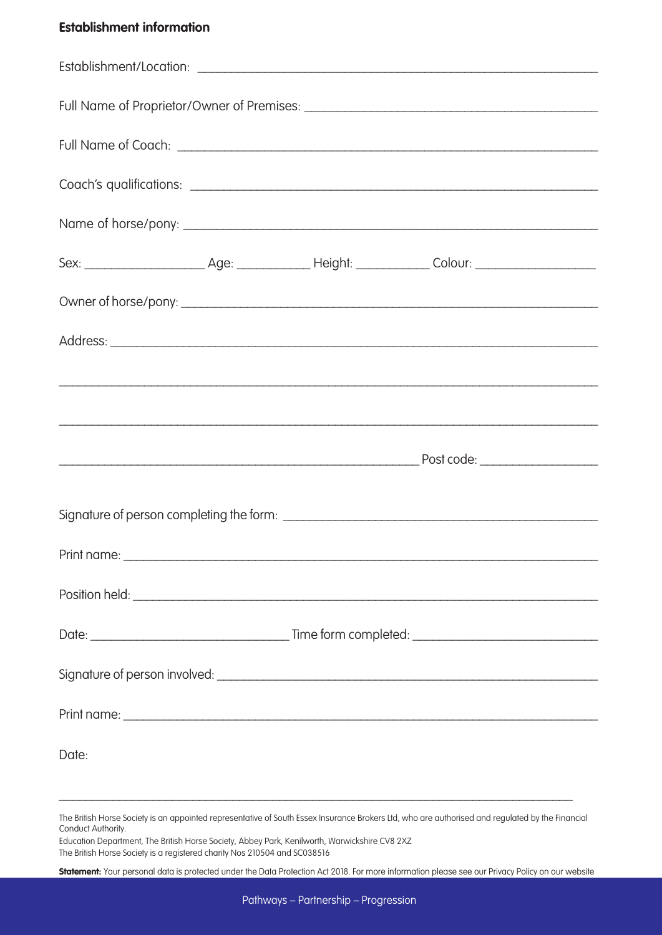## **Establishment information**

| Date: |  |  |  |  |
|-------|--|--|--|--|

\_\_\_\_\_\_\_\_\_\_\_\_\_\_\_\_\_\_\_\_\_\_\_\_\_\_\_\_\_\_\_\_\_\_\_\_\_\_\_\_\_\_\_\_\_\_\_\_\_\_\_\_\_\_\_\_\_\_\_\_\_\_\_\_\_\_\_\_\_\_\_\_\_\_\_\_\_

Education Department, The British Horse Society, Abbey Park, Kenilworth, Warwickshire CV8 2XZ The British Horse Society is a registered charity Nos 210504 and SC038516

**Statement:** Your personal data is protected under the Data Protection Act 2018. For more information please see our Privacy Policy on our website

The British Horse Society is an appointed representative of South Essex Insurance Brokers Ltd, who are authorised and regulated by the Financial Conduct Authority.